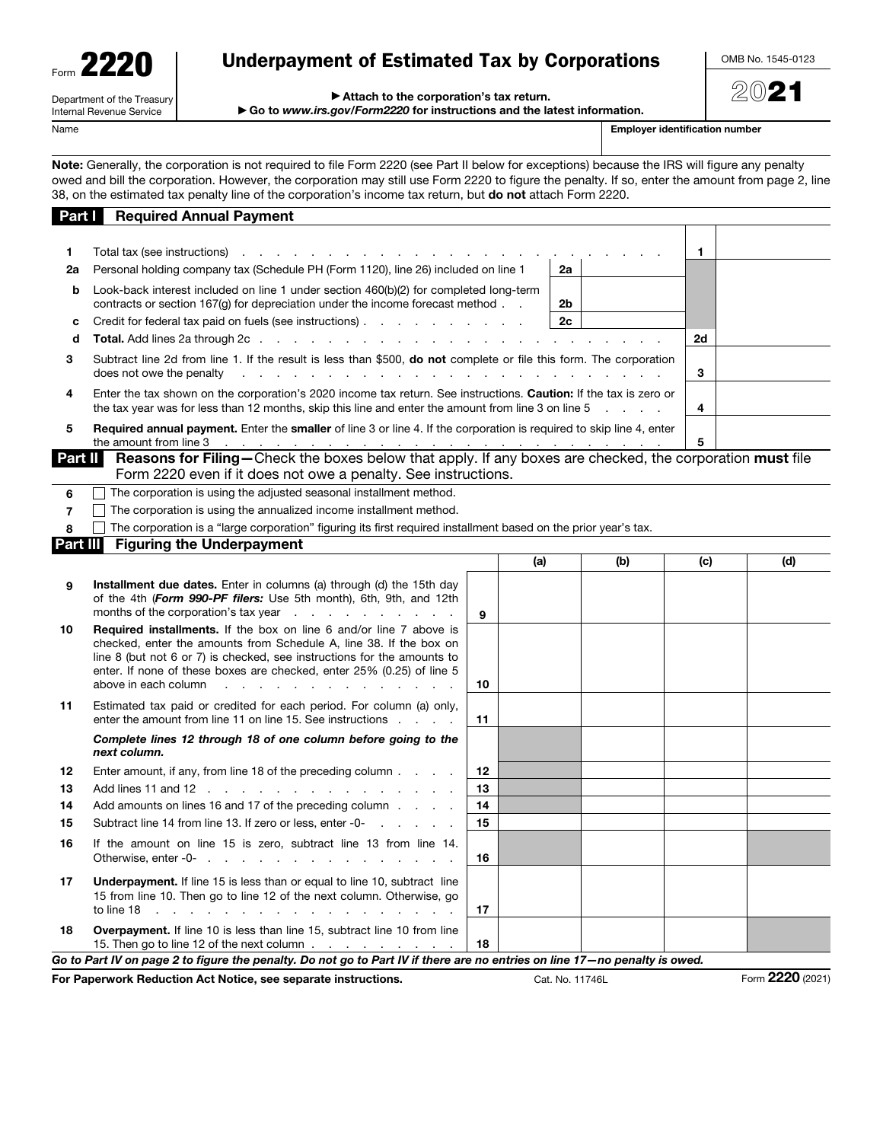Department of the Treasury Internal Revenue Service

# Underpayment of Estimated Tax by Corporations

OMB No. 1545-0123

2021

#### ▶ Attach to the corporation's tax return.

▶ Go to *www.irs.gov/Form2220* for instructions and the latest information.

Name **Employer identification number**  $\blacksquare$ 

Note: Generally, the corporation is not required to file Form 2220 (see Part II below for exceptions) because the IRS will figure any penalty owed and bill the corporation. However, the corporation may still use Form 2220 to figure the penalty. If so, enter the amount from page 2, line 38, on the estimated tax penalty line of the corporation's income tax return, but do not attach Form 2220.

| Part I         | <b>Required Annual Payment</b>                                                                                                                                                                                                                                                                                                                                                         |    |     |    |     |     |     |
|----------------|----------------------------------------------------------------------------------------------------------------------------------------------------------------------------------------------------------------------------------------------------------------------------------------------------------------------------------------------------------------------------------------|----|-----|----|-----|-----|-----|
|                |                                                                                                                                                                                                                                                                                                                                                                                        |    |     |    |     |     |     |
| 1              | Total tax (see instructions) exactled as a set of the set of the set of the set of the set of the set of the set of the set of the set of the set of the set of the set of the set of the set of the set of the set of the set                                                                                                                                                         |    |     |    |     | 1   |     |
| 2a             | Personal holding company tax (Schedule PH (Form 1120), line 26) included on line 1                                                                                                                                                                                                                                                                                                     |    |     | 2a |     |     |     |
| b              | Look-back interest included on line 1 under section 460(b)(2) for completed long-term<br>contracts or section $167(q)$ for depreciation under the income forecast method $\ldots$                                                                                                                                                                                                      |    |     | 2b |     |     |     |
| c              | Credit for federal tax paid on fuels (see instructions)                                                                                                                                                                                                                                                                                                                                |    |     | 2c |     |     |     |
| d              |                                                                                                                                                                                                                                                                                                                                                                                        |    |     |    |     | 2d  |     |
| 3              | Subtract line 2d from line 1. If the result is less than \$500, <b>do not</b> complete or file this form. The corporation<br>does not owe the penalty<br>a construction of the construction of the construction of the construction of the construction of the construction of the construction of the construction of the construction of the construction of the construction of the |    |     |    |     | 3   |     |
| 4              | Enter the tax shown on the corporation's 2020 income tax return. See instructions. <b>Caution:</b> If the tax is zero or<br>the tax year was for less than 12 months, skip this line and enter the amount from line 3 on line 5                                                                                                                                                        |    |     |    |     | 4   |     |
| 5              | <b>Required annual payment.</b> Enter the <b>smaller</b> of line 3 or line 4. If the corporation is required to skip line 4, enter                                                                                                                                                                                                                                                     |    |     |    |     | 5   |     |
| Part II        | Reasons for Filing-Check the boxes below that apply. If any boxes are checked, the corporation must file<br>Form 2220 even if it does not owe a penalty. See instructions.                                                                                                                                                                                                             |    |     |    |     |     |     |
| 6              | The corporation is using the adjusted seasonal installment method.                                                                                                                                                                                                                                                                                                                     |    |     |    |     |     |     |
| $\overline{7}$ | The corporation is using the annualized income installment method.                                                                                                                                                                                                                                                                                                                     |    |     |    |     |     |     |
| 8              | The corporation is a "large corporation" figuring its first required installment based on the prior year's tax.                                                                                                                                                                                                                                                                        |    |     |    |     |     |     |
| Part III       | <b>Figuring the Underpayment</b>                                                                                                                                                                                                                                                                                                                                                       |    |     |    |     |     |     |
|                |                                                                                                                                                                                                                                                                                                                                                                                        |    | (a) |    | (b) | (c) | (d) |
| 9              | Installment due dates. Enter in columns (a) through (d) the 15th day<br>of the 4th (Form 990-PF filers: Use 5th month), 6th, 9th, and 12th<br>months of the corporation's tax year example that is a set of the corporation's tax year                                                                                                                                                 | 9  |     |    |     |     |     |
| 10             | Required installments. If the box on line 6 and/or line 7 above is<br>checked, enter the amounts from Schedule A, line 38. If the box on<br>line 8 (but not 6 or 7) is checked, see instructions for the amounts to<br>enter. If none of these boxes are checked, enter 25% (0.25) of line 5<br>above in each column<br>the contract of the contract of the contract of the con-       | 10 |     |    |     |     |     |
| 11             | Estimated tax paid or credited for each period. For column (a) only,<br>enter the amount from line 11 on line 15. See instructions                                                                                                                                                                                                                                                     | 11 |     |    |     |     |     |
|                | Complete lines 12 through 18 of one column before going to the<br>next column.                                                                                                                                                                                                                                                                                                         |    |     |    |     |     |     |
| 12             | Enter amount, if any, from line 18 of the preceding column                                                                                                                                                                                                                                                                                                                             | 12 |     |    |     |     |     |
| 13             | Add lines 11 and 12                                                                                                                                                                                                                                                                                                                                                                    | 13 |     |    |     |     |     |
| 14             | Add amounts on lines 16 and 17 of the preceding column                                                                                                                                                                                                                                                                                                                                 | 14 |     |    |     |     |     |
| 15             | Subtract line 14 from line 13. If zero or less, enter -0-                                                                                                                                                                                                                                                                                                                              | 15 |     |    |     |     |     |
| 16             | If the amount on line 15 is zero, subtract line 13 from line 14.<br>Otherwise, enter -0-                                                                                                                                                                                                                                                                                               | 16 |     |    |     |     |     |
| 17             | <b>Underpayment.</b> If line 15 is less than or equal to line 10, subtract line<br>15 from line 10. Then go to line 12 of the next column. Otherwise, go                                                                                                                                                                                                                               | 17 |     |    |     |     |     |
| 18             | <b>Overpayment.</b> If line 10 is less than line 15, subtract line 10 from line<br>15. Then go to line 12 of the next column                                                                                                                                                                                                                                                           | 18 |     |    |     |     |     |

*Go to Part IV on page 2 to figure the penalty. Do not go to Part IV if there are no entries on line 17—no penalty is owed.*

For Paperwork Reduction Act Notice, see separate instructions. Cat. No. 11746L Form 2220 (2021)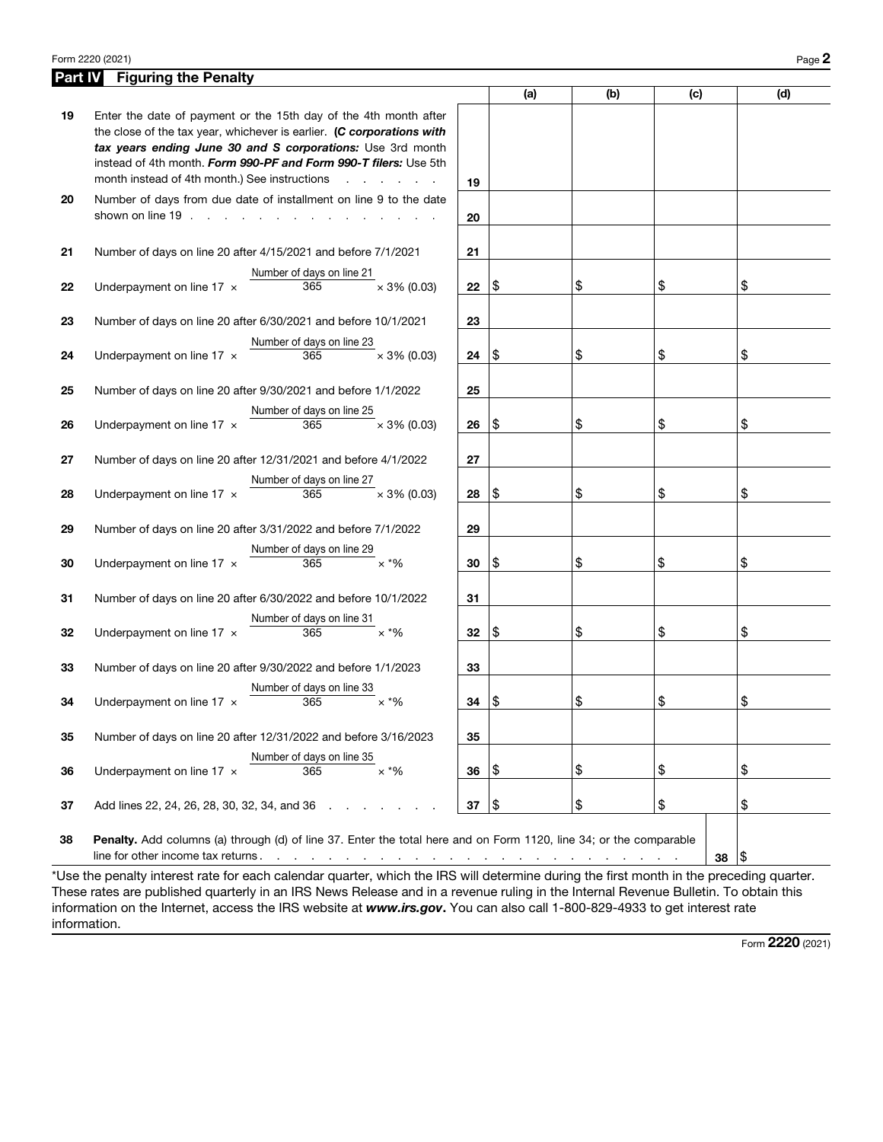#### Form 2220 (2021) Page  $2$

| Part IV | <b>Figuring the Penalty</b>                                                                                                                                                                                                                                                                                                                                                                      |    |                    |     |     |     |
|---------|--------------------------------------------------------------------------------------------------------------------------------------------------------------------------------------------------------------------------------------------------------------------------------------------------------------------------------------------------------------------------------------------------|----|--------------------|-----|-----|-----|
|         |                                                                                                                                                                                                                                                                                                                                                                                                  |    | (a)                | (b) | (c) | (d) |
| 19      | Enter the date of payment or the 15th day of the 4th month after<br>the close of the tax year, whichever is earlier. (C corporations with<br>tax years ending June 30 and S corporations: Use 3rd month<br>instead of 4th month. Form 990-PF and Form 990-T filers: Use 5th<br>month instead of 4th month.) See instructions                                                                     | 19 |                    |     |     |     |
| 20      | Number of days from due date of installment on line 9 to the date<br>shown on line $19 \cdot 11 \cdot 11 \cdot 11 \cdot 11$                                                                                                                                                                                                                                                                      | 20 |                    |     |     |     |
| 21      | Number of days on line 20 after 4/15/2021 and before 7/1/2021                                                                                                                                                                                                                                                                                                                                    | 21 |                    |     |     |     |
| 22      | Number of days on line 21<br>Underpayment on line 17 x<br>365<br>$\times$ 3% (0.03)                                                                                                                                                                                                                                                                                                              | 22 | 1\$                | \$  | \$  | \$  |
| 23      | Number of days on line 20 after 6/30/2021 and before 10/1/2021                                                                                                                                                                                                                                                                                                                                   | 23 |                    |     |     |     |
| 24      | Number of days on line 23<br>Underpayment on line 17 x<br>365<br>$\times$ 3% (0.03)                                                                                                                                                                                                                                                                                                              | 24 | 1\$                | \$  | \$  | \$  |
| 25      | Number of days on line 20 after 9/30/2021 and before 1/1/2022                                                                                                                                                                                                                                                                                                                                    | 25 |                    |     |     |     |
| 26      | Number of days on line 25<br>365<br>$\times$ 3% (0.03)<br>Underpayment on line 17 $\times$                                                                                                                                                                                                                                                                                                       | 26 | 1\$                | \$  | \$  | \$  |
| 27      | Number of days on line 20 after 12/31/2021 and before 4/1/2022                                                                                                                                                                                                                                                                                                                                   | 27 |                    |     |     |     |
| 28      | Number of days on line 27<br>Underpayment on line 17 $\times$<br>365<br>$\times$ 3% (0.03)                                                                                                                                                                                                                                                                                                       | 28 | \$                 | \$  | \$  | \$  |
| 29      | Number of days on line 20 after 3/31/2022 and before 7/1/2022                                                                                                                                                                                                                                                                                                                                    | 29 |                    |     |     |     |
| 30      | Number of days on line 29<br>365<br>$\times$ *%<br>Underpayment on line 17 x                                                                                                                                                                                                                                                                                                                     | 30 | \$                 | \$  | \$  | \$  |
| 31      | Number of days on line 20 after 6/30/2022 and before 10/1/2022                                                                                                                                                                                                                                                                                                                                   | 31 |                    |     |     |     |
| 32      | Number of days on line 31<br>Underpayment on line 17 x<br>365<br>$\times$ *%                                                                                                                                                                                                                                                                                                                     | 32 | \$                 | \$  | \$  | \$  |
| 33      | Number of days on line 20 after 9/30/2022 and before 1/1/2023                                                                                                                                                                                                                                                                                                                                    | 33 |                    |     |     |     |
| 34      | Number of days on line 33<br>365<br>$\times$ *%<br>Underpayment on line $17 \times$                                                                                                                                                                                                                                                                                                              | 34 | \$                 | \$  | \$  | \$  |
| 35      | Number of days on line 20 after 12/31/2022 and before 3/16/2023                                                                                                                                                                                                                                                                                                                                  | 35 |                    |     |     |     |
| 36      | Number of days on line 35<br>$\times$ *%<br>Underpayment on line $17 \times$<br>365                                                                                                                                                                                                                                                                                                              | 36 | \$                 | \$  | \$  | \$  |
| 37      | Add lines 22, 24, 26, 28, 30, 32, 34, and 36<br>$\sim$ $\sim$ $\sim$                                                                                                                                                                                                                                                                                                                             | 37 | $\vert \mathsf{s}$ | \$  | \$  | \$  |
| 38      | Penalty. Add columns (a) through (d) of line 37. Enter the total here and on Form 1120, line 34; or the comparable<br>line for other income tax returns.<br>والمعاون والمناور والمناور والمعاون والمناور والمناور والمناور والمناور والمناور والمناور<br>*Use the penalty interest rate for each calendar quarter, which the IRS will determine during the first month in the preceding quarter. |    |                    |     | 38  | 1\$ |

These rates are published quarterly in an IRS News Release and in a revenue ruling in the Internal Revenue Bulletin. To obtain this information on the Internet, access the IRS website at *www.irs.gov*. You can also call 1-800-829-4933 to get interest rate information.

Form 2220 (2021)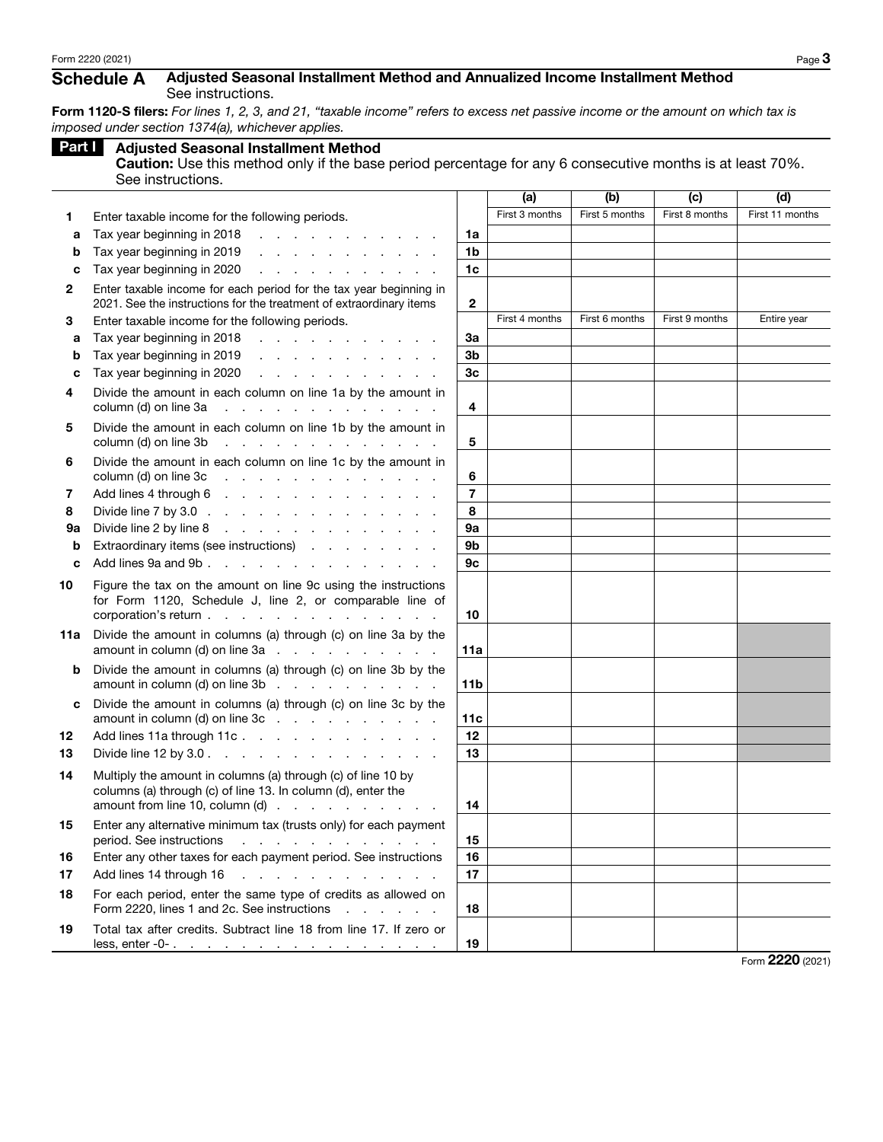### Schedule A Adjusted Seasonal Installment Method and Annualized Income Installment Method See instructions.

Form 1120-S filers: *For lines 1, 2, 3, and 21, "taxable income" refers to excess net passive income or the amount on which tax is imposed under section 1374(a), whichever applies.*

|     |                                                                                                                                                                   |                 | (a)            | (b)            | (c)            | (d)             |
|-----|-------------------------------------------------------------------------------------------------------------------------------------------------------------------|-----------------|----------------|----------------|----------------|-----------------|
| 1   | Enter taxable income for the following periods.                                                                                                                   |                 | First 3 months | First 5 months | First 8 months | First 11 months |
| a   | Tax year beginning in 2018<br>and a series and a series                                                                                                           | 1a              |                |                |                |                 |
| b   | Tax year beginning in 2019<br>and the state of the state of the state of                                                                                          | 1 <sub>b</sub>  |                |                |                |                 |
| c   | Tax year beginning in 2020<br>and the company of the company of                                                                                                   | 1 <sub>c</sub>  |                |                |                |                 |
| 2   | Enter taxable income for each period for the tax year beginning in<br>2021. See the instructions for the treatment of extraordinary items                         | $\overline{2}$  |                |                |                |                 |
| 3   | Enter taxable income for the following periods.                                                                                                                   |                 | First 4 months | First 6 months | First 9 months | Entire year     |
| a   | Tax year beginning in 2018<br>and the contract of the contract of                                                                                                 | 3a              |                |                |                |                 |
| b   | Tax year beginning in 2019<br>the contract of the contract of the contract of                                                                                     | 3b              |                |                |                |                 |
| c   | Tax year beginning in 2020<br>design and a state of the state of the                                                                                              | 3 <sub>c</sub>  |                |                |                |                 |
| 4   | Divide the amount in each column on line 1a by the amount in<br>column (d) on line 3a<br>and the state of the state of the state                                  | 4               |                |                |                |                 |
| 5   | Divide the amount in each column on line 1b by the amount in<br>and the contract of the contract of the<br>column (d) on line 3b                                  | 5               |                |                |                |                 |
| 6   | Divide the amount in each column on line 1c by the amount in<br>column (d) on line 3c<br>and a series of the contract of the con-                                 | 6               |                |                |                |                 |
| 7   | Add lines 4 through 6<br>the contract of the contract of the contract of the contract of the contract of the contract of the contract of                          | $\overline{7}$  |                |                |                |                 |
| 8   | Divide line 7 by 3.0 $\ldots$ $\ldots$ $\ldots$ $\ldots$ $\ldots$ $\ldots$ $\ldots$                                                                               | 8               |                |                |                |                 |
| 9а  | Divide line 2 by line 8<br>the contract of the contract of the contract of                                                                                        | 9a              |                |                |                |                 |
| b   | Extraordinary items (see instructions)                                                                                                                            | 9b              |                |                |                |                 |
| c   | Add lines 9a and 9b.                                                                                                                                              | 9c              |                |                |                |                 |
| 10  | Figure the tax on the amount on line 9c using the instructions<br>for Form 1120, Schedule J, line 2, or comparable line of<br>corporation's return                | 10              |                |                |                |                 |
| 11a | Divide the amount in columns (a) through (c) on line 3a by the<br>amount in column (d) on line $3a$ $\ldots$ $\ldots$ $\ldots$ $\ldots$                           | 11a             |                |                |                |                 |
| b   | Divide the amount in columns (a) through (c) on line 3b by the<br>amount in column (d) on line $3b$                                                               | 11 <sub>b</sub> |                |                |                |                 |
| c   | Divide the amount in columns (a) through (c) on line 3c by the<br>amount in column (d) on line $3c$                                                               | 11c             |                |                |                |                 |
| 12  | Add lines 11a through 11c.                                                                                                                                        | 12              |                |                |                |                 |
| 13  | Divide line 12 by 3.0 $\ldots$ $\ldots$ $\ldots$ $\ldots$ $\ldots$ $\ldots$ $\ldots$                                                                              | 13              |                |                |                |                 |
| 14  | Multiply the amount in columns (a) through (c) of line 10 by<br>columns (a) through (c) of line 13. In column (d), enter the<br>amount from line 10, column $(d)$ | 14              |                |                |                |                 |
| 15  | Enter any alternative minimum tax (trusts only) for each payment<br>period. See instructions<br>the contract of the contract of the con-                          | 15              |                |                |                |                 |
| 16  | Enter any other taxes for each payment period. See instructions                                                                                                   | 16              |                |                |                |                 |
| 17  | Add lines 14 through 16<br>and the company of the company of the                                                                                                  | 17              |                |                |                |                 |
| 18  | For each period, enter the same type of credits as allowed on<br>Form 2220, lines 1 and 2c. See instructions                                                      | 18              |                |                |                |                 |
| 19  | Total tax after credits. Subtract line 18 from line 17. If zero or                                                                                                | 19              |                |                |                |                 |

Form 2220 (2021)